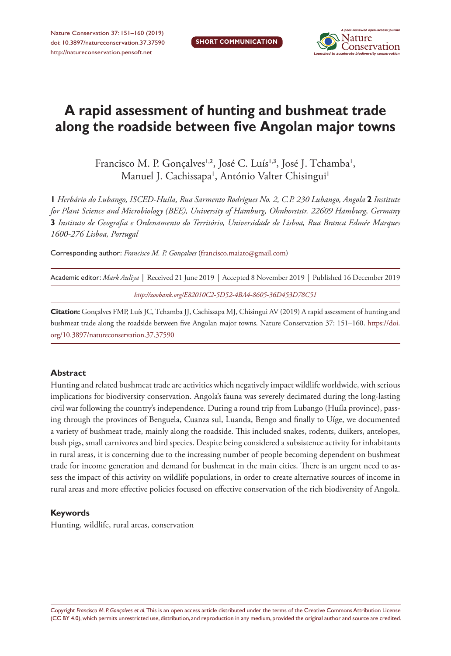

# **A rapid assessment of hunting and bushmeat trade along the roadside between five Angolan major towns**

Francisco M. P. Gonçalves<sup>1,2</sup>, José C. Luís<sup>1,3</sup>, José J. Tchamba<sup>1</sup>, Manuel J. Cachissapa', António Valter Chisingui'

**1** *Herbário do Lubango, ISCED-Huíla, Rua Sarmento Rodrigues No. 2, C.P. 230 Lubango, Angola* **2** *Institute for Plant Science and Microbiology (BEE), University of Hamburg, Ohnhorststr. 22609 Hamburg, Germany*  **3** *Instituto de Geografia e Ordenamento do Território, Universidade de Lisboa, Rua Branca Edmée Marques 1600-276 Lisboa, Portugal*

Corresponding author: *Francisco M. P. Gonçalves* [\(francisco.maiato@gmail.com\)](mailto:francisco.maiato@gmail.com)

| Academic editor: Mark Auliya   Received 21 June 2019   Accepted 8 November 2019   Published 16 December 2019 |  |
|--------------------------------------------------------------------------------------------------------------|--|
| http://zoobank.org/E82010C2-5D52-4BA4-8605-36D453D78C51                                                      |  |

**Citation:** Gonçalves FMP, Luís JC, Tchamba JJ, Cachissapa MJ, Chisingui AV (2019) A rapid assessment of hunting and bushmeat trade along the roadside between five Angolan major towns. Nature Conservation 37: 151–160. [https://doi.](https://doi.org/10.3897/natureconservation.37.37590) [org/10.3897/natureconservation.37.37590](https://doi.org/10.3897/natureconservation.37.37590)

#### **Abstract**

Hunting and related bushmeat trade are activities which negatively impact wildlife worldwide, with serious implications for biodiversity conservation. Angola's fauna was severely decimated during the long-lasting civil war following the country's independence. During a round trip from Lubango (Huíla province), passing through the provinces of Benguela, Cuanza sul, Luanda, Bengo and finally to Uíge, we documented a variety of bushmeat trade, mainly along the roadside. This included snakes, rodents, duikers, antelopes, bush pigs, small carnivores and bird species. Despite being considered a subsistence activity for inhabitants in rural areas, it is concerning due to the increasing number of people becoming dependent on bushmeat trade for income generation and demand for bushmeat in the main cities. There is an urgent need to assess the impact of this activity on wildlife populations, in order to create alternative sources of income in rural areas and more effective policies focused on effective conservation of the rich biodiversity of Angola.

#### **Keywords**

Hunting, wildlife, rural areas, conservation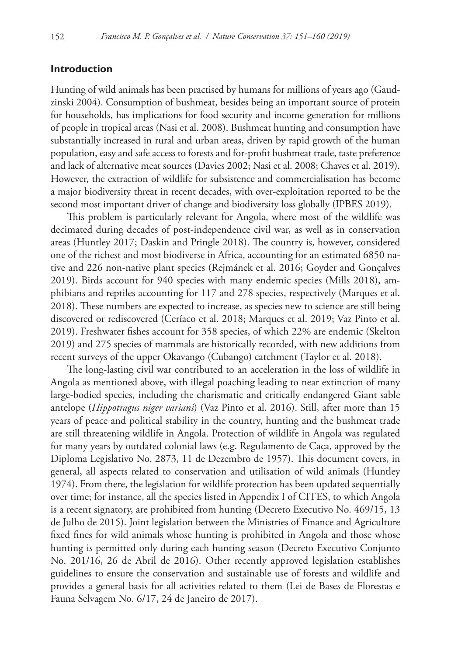## **Introduction**

Hunting of wild animals has been practised by humans for millions of years ago (Gaudzinski 2004). Consumption of bushmeat, besides being an important source of protein for households, has implications for food security and income generation for millions of people in tropical areas (Nasi et al. 2008). Bushmeat hunting and consumption have substantially increased in rural and urban areas, driven by rapid growth of the human population, easy and safe access to forests and for-profit bushmeat trade, taste preference and lack of alternative meat sources (Davies 2002; Nasi et al. 2008; Chaves et al. 2019). However, the extraction of wildlife for subsistence and commercialisation has become a major biodiversity threat in recent decades, with over-exploitation reported to be the second most important driver of change and biodiversity loss globally (IPBES 2019).

This problem is particularly relevant for Angola, where most of the wildlife was decimated during decades of post-independence civil war, as well as in conservation areas (Huntley 2017; Daskin and Pringle 2018). The country is, however, considered one of the richest and most biodiverse in Africa, accounting for an estimated 6850 native and 226 non-native plant species (Rejmánek et al. 2016; Goyder and Gonçalves 2019). Birds account for 940 species with many endemic species (Mills 2018), amphibians and reptiles accounting for 117 and 278 species, respectively (Marques et al. 2018). These numbers are expected to increase, as species new to science are still being discovered or rediscovered (Ceríaco et al. 2018; Marques et al. 2019; Vaz Pinto et al. 2019). Freshwater fishes account for 358 species, of which 22% are endemic (Skelton 2019) and 275 species of mammals are historically recorded, with new additions from recent surveys of the upper Okavango (Cubango) catchment (Taylor et al. 2018).

The long-lasting civil war contributed to an acceleration in the loss of wildlife in Angola as mentioned above, with illegal poaching leading to near extinction of many large-bodied species, including the charismatic and critically endangered Giant sable antelope (*Hippotragus niger variani*) (Vaz Pinto et al. 2016). Still, after more than 15 years of peace and political stability in the country, hunting and the bushmeat trade are still threatening wildlife in Angola. Protection of wildlife in Angola was regulated for many years by outdated colonial laws (e.g. Regulamento de Caça, approved by the Diploma Legislativo No. 2873, 11 de Dezembro de 1957). This document covers, in general, all aspects related to conservation and utilisation of wild animals (Huntley 1974). From there, the legislation for wildlife protection has been updated sequentially over time; for instance, all the species listed in Appendix I of CITES, to which Angola is a recent signatory, are prohibited from hunting (Decreto Executivo No. 469/15, 13 de Julho de 2015). Joint legislation between the Ministries of Finance and Agriculture fixed fines for wild animals whose hunting is prohibited in Angola and those whose hunting is permitted only during each hunting season (Decreto Executivo Conjunto No. 201/16, 26 de Abril de 2016). Other recently approved legislation establishes guidelines to ensure the conservation and sustainable use of forests and wildlife and provides a general basis for all activities related to them (Lei de Bases de Florestas e Fauna Selvagem No. 6/17, 24 de Janeiro de 2017).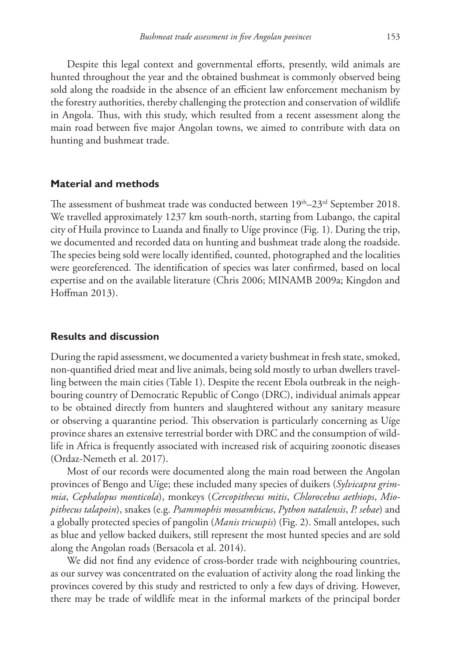Despite this legal context and governmental efforts, presently, wild animals are hunted throughout the year and the obtained bushmeat is commonly observed being sold along the roadside in the absence of an efficient law enforcement mechanism by the forestry authorities, thereby challenging the protection and conservation of wildlife in Angola. Thus, with this study, which resulted from a recent assessment along the main road between five major Angolan towns, we aimed to contribute with data on hunting and bushmeat trade.

## **Material and methods**

The assessment of bushmeat trade was conducted between  $19<sup>th</sup>-23<sup>rd</sup>$  September 2018. We travelled approximately 1237 km south-north, starting from Lubango, the capital city of Huíla province to Luanda and finally to Uíge province (Fig. 1). During the trip, we documented and recorded data on hunting and bushmeat trade along the roadside. The species being sold were locally identified, counted, photographed and the localities were georeferenced. The identification of species was later confirmed, based on local expertise and on the available literature (Chris 2006; MINAMB 2009a; Kingdon and Hoffman 2013).

## **Results and discussion**

During the rapid assessment, we documented a variety bushmeat in fresh state, smoked, non-quantified dried meat and live animals, being sold mostly to urban dwellers travelling between the main cities (Table 1). Despite the recent Ebola outbreak in the neighbouring country of Democratic Republic of Congo (DRC), individual animals appear to be obtained directly from hunters and slaughtered without any sanitary measure or observing a quarantine period. This observation is particularly concerning as Uíge province shares an extensive terrestrial border with DRC and the consumption of wildlife in Africa is frequently associated with increased risk of acquiring zoonotic diseases (Ordaz-Nemeth et al. 2017).

Most of our records were documented along the main road between the Angolan provinces of Bengo and Uíge; these included many species of duikers (*Sylvicapra grimmia*, *Cephalopus monticola*), monkeys (*Cercopithecus mitis*, *Chlorocebus aethiops*, *Miopithecus talapoin*), snakes (e.g. *Psammophis mossambicus*, *Python natalensis*, *P. sebae*) and a globally protected species of pangolin (*Manis tricuspis*) (Fig. 2). Small antelopes, such as blue and yellow backed duikers, still represent the most hunted species and are sold along the Angolan roads (Bersacola et al. 2014).

We did not find any evidence of cross-border trade with neighbouring countries, as our survey was concentrated on the evaluation of activity along the road linking the provinces covered by this study and restricted to only a few days of driving. However, there may be trade of wildlife meat in the informal markets of the principal border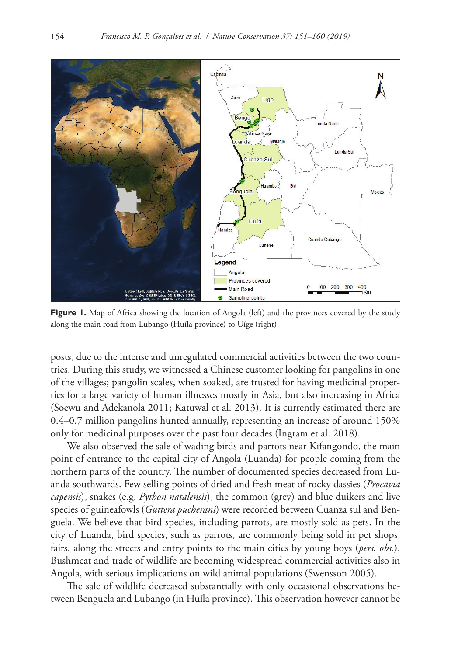

**Figure 1.** Map of Africa showing the location of Angola (left) and the provinces covered by the study along the main road from Lubango (Huíla province) to Uíge (right).

posts, due to the intense and unregulated commercial activities between the two countries. During this study, we witnessed a Chinese customer looking for pangolins in one of the villages; pangolin scales, when soaked, are trusted for having medicinal properties for a large variety of human illnesses mostly in Asia, but also increasing in Africa (Soewu and Adekanola 2011; Katuwal et al. 2013). It is currently estimated there are 0.4–0.7 million pangolins hunted annually, representing an increase of around 150% only for medicinal purposes over the past four decades (Ingram et al. 2018).

We also observed the sale of wading birds and parrots near Kifangondo, the main point of entrance to the capital city of Angola (Luanda) for people coming from the northern parts of the country. The number of documented species decreased from Luanda southwards. Few selling points of dried and fresh meat of rocky dassies (*Procavia capensis*), snakes (e.g. *Python natalensis*), the common (grey) and blue duikers and live species of guineafowls (*Guttera pucherani*) were recorded between Cuanza sul and Benguela. We believe that bird species, including parrots, are mostly sold as pets. In the city of Luanda, bird species, such as parrots, are commonly being sold in pet shops, fairs, along the streets and entry points to the main cities by young boys (*pers. obs.*). Bushmeat and trade of wildlife are becoming widespread commercial activities also in Angola, with serious implications on wild animal populations (Swensson 2005).

The sale of wildlife decreased substantially with only occasional observations between Benguela and Lubango (in Huíla province). This observation however cannot be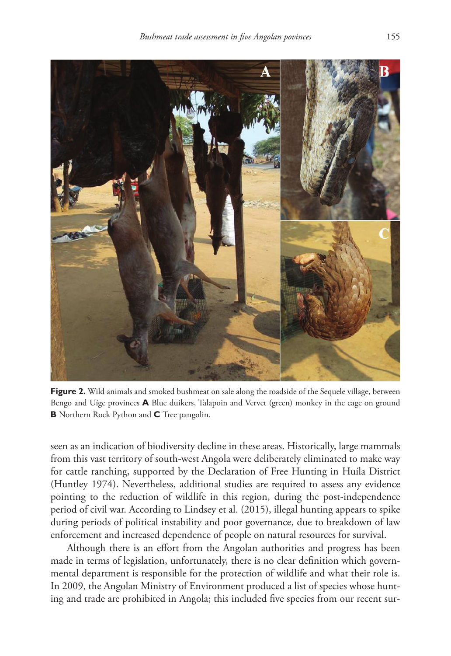

Figure 2. Wild animals and smoked bushmeat on sale along the roadside of the Sequele village, between Bengo and Uíge provinces **A** Blue duikers, Talapoin and Vervet (green) monkey in the cage on ground **B** Northern Rock Python and **C** Tree pangolin.

seen as an indication of biodiversity decline in these areas. Historically, large mammals from this vast territory of south-west Angola were deliberately eliminated to make way for cattle ranching, supported by the Declaration of Free Hunting in Huíla District (Huntley 1974). Nevertheless, additional studies are required to assess any evidence pointing to the reduction of wildlife in this region, during the post-independence period of civil war. According to Lindsey et al. (2015), illegal hunting appears to spike during periods of political instability and poor governance, due to breakdown of law enforcement and increased dependence of people on natural resources for survival.

Although there is an effort from the Angolan authorities and progress has been made in terms of legislation, unfortunately, there is no clear definition which governmental department is responsible for the protection of wildlife and what their role is. In 2009, the Angolan Ministry of Environment produced a list of species whose hunting and trade are prohibited in Angola; this included five species from our recent sur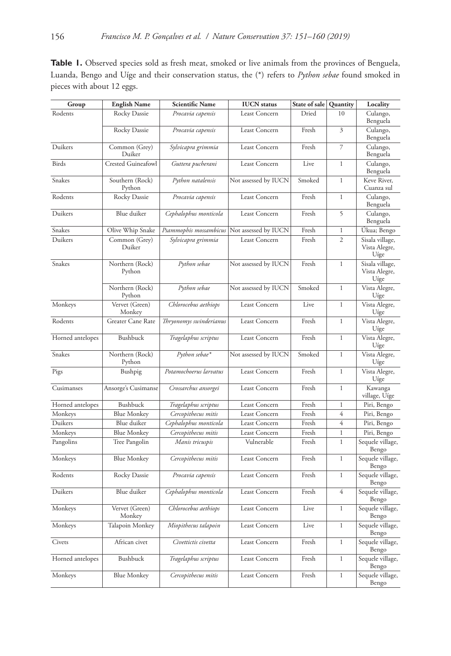Table 1. Observed species sold as fresh meat, smoked or live animals from the provinces of Benguela, Luanda, Bengo and Uíge and their conservation status, the (\*) refers to *Python sebae* found smoked in pieces with about 12 eggs.

| Group            | <b>English Name</b>       | <b>Scientific Name</b>  | <b>IUCN</b> status   | State of sale | Quantity       | Locality                                 |
|------------------|---------------------------|-------------------------|----------------------|---------------|----------------|------------------------------------------|
| Rodents          | Rocky Dassie              | Procavia capensis       | Least Concern        | Dried         | 10             | Culango,<br>Benguela                     |
|                  | Rocky Dassie              | Procavia capensis       | Least Concern        | Fresh         | 3              | Culango,<br>Benguela                     |
| Duikers          | Common (Grey)<br>Duiker   | Sylvicapra grimmia      | Least Concern        | Fresh         | 7              | Culango,<br>Benguela                     |
| <b>Birds</b>     | Crested Guineafowl        | Guttera pucherani       | Least Concern        | Live          | $\mathbf{1}$   | Culango,<br>Benguela                     |
| Snakes           | Southern (Rock)<br>Python | Python natalensis       | Not assessed by IUCN | Smoked        | $\mathbf{1}$   | Keve River,<br>Cuanza sul                |
| Rodents          | Rocky Dassie              | Procavia capensis       | Least Concern        | Fresh         | $\mathbf{1}$   | Culango,<br>Benguela                     |
| Duikers          | Blue duiker               | Cephalophus monticola   | Least Concern        | Fresh         | 5              | Culango,<br>Benguela                     |
| Snakes           | Olive Whip Snake          | Psammophis mossambicus  | Not assessed by IUCN | Fresh         | $\mathbf{1}$   | Úkua; Bengo                              |
| Duikers          | Common (Grey)<br>Duiker   | Sylvicapra grimmia      | Least Concern        | Fresh         | $\overline{c}$ | Sisala village,<br>Vista Alegre,<br>Uíge |
| Snakes           | Northern (Rock)<br>Python | Python sebae            | Not assessed by IUCN | Fresh         | $\mathbf{1}$   | Sisala village,<br>Vista Alegre,<br>Uíge |
|                  | Northern (Rock)<br>Python | Python sebae            | Not assessed by IUCN | Smoked        | $\mathbf{1}$   | Vista Alegre,<br>Uíge                    |
| Monkeys          | Vervet (Green)<br>Monkey  | Chlorocebus aethiops    | Least Concern        | Live          | $\mathbf{1}$   | Vista Alegre,<br>Uíge                    |
| Rodents          | Greater Cane Rate         | Thryonomys swinderianus | Least Concern        | Fresh         | $\mathbf{1}$   | Vista Alegre,<br>Uíge                    |
| Horned antelopes | Bushbuck                  | Tragelaphus scriptus    | Least Concern        | Fresh         | $\mathbf 1$    | Vista Alegre,<br>Uíge                    |
| Snakes           | Northern (Rock)<br>Python | Python sebae*           | Not assessed by IUCN | Smoked        | $\mathbf{1}$   | Vista Alegre,<br>Uíge                    |
| Pigs             | Bushpig                   | Potamochoerus larvatus  | Least Concern        | Fresh         | $\mathbf{1}$   | Vista Alegre,<br>Uíge                    |
| Cusimanses       | Ansorge's Cusimanse       | Crossarchus ansorgei    | Least Concern        | Fresh         | $\mathbf{1}$   | Kawanga<br>village, Uíge                 |
| Horned antelopes | Bushbuck                  | Tragelaphus scriptus    | Least Concern        | Fresh         | $\,1\,$        | Piri, Bengo                              |
| Monkeys          | <b>Blue Monkey</b>        | Cercopithecus mitis     | Least Concern        | Fresh         | 4              | Piri, Bengo                              |
| Duikers          | Blue duiker               | Cephalophus monticola   | Least Concern        | Fresh         | $\overline{4}$ | Piri, Bengo                              |
| Monkeys          | Blue Monkey               | Cercopithecus mitis     | Least Concern        | Fresh         | $\mathbf{1}$   | Piri, Bengo                              |
| Pangolins        | Tree Pangolin             | Manis tricuspis         | Vulnerable           | Fresh         | $\mathbf{1}$   | Sequele village,<br>Bengo                |
| Monkeys          | <b>Blue Monkey</b>        | Cercopithecus mitis     | Least Concern        | Fresh         | $\mathbf{1}$   | Sequele village,<br>Bengo                |
| Rodents          | Rocky Dassie              | Procavia capensis       | Least Concern        | Fresh         | $\mathbf{1}$   | Sequele village,<br>Bengo                |
| Duikers          | Blue duiker               | Cephalophus monticola   | Least Concern        | Fresh         | $\overline{4}$ | Sequele village,<br>Bengo                |
| Monkeys          | Vervet (Green)<br>Monkey  | Chlorocebus aethiops    | Least Concern        | Live          | $\mathbf{1}$   | Sequele village,<br>Bengo                |
| Monkeys          | Talapoin Monkey           | Miopithecus talapoin    | Least Concern        | Live          | $\mathbf{1}$   | Sequele village,<br>Bengo                |
| Civets           | African civet             | Civettictis civetta     | Least Concern        | Fresh         | $\mathbf{1}$   | Sequele village,<br>Bengo                |
| Horned antelopes | Bushbuck                  | Tragelaphus scriptus    | Least Concern        | Fresh         | $\mathbf{1}$   | Sequele village,<br>Bengo                |
| Monkeys          | <b>Blue Monkey</b>        | Cercopithecus mitis     | Least Concern        | Fresh         | $\mathbf{1}$   | Sequele village,<br>Bengo                |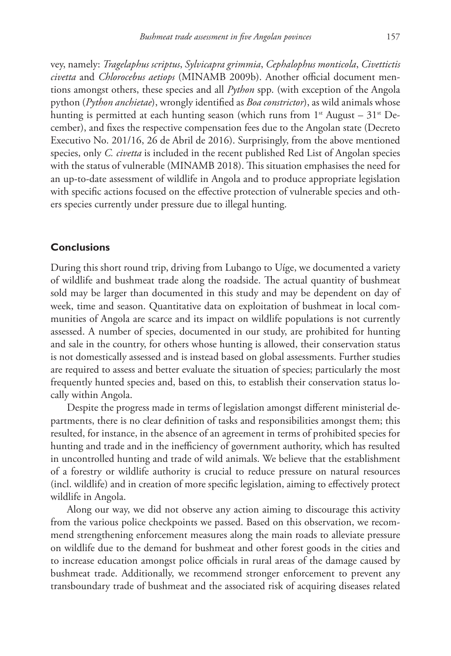vey, namely: *Tragelaphus scriptus*, *Sylvicapra grimmia*, *Cephalophus monticola*, *Civettictis civetta* and *Chlorocebus aetiops* (MINAMB 2009b). Another official document mentions amongst others, these species and all *Python* spp. (with exception of the Angola python (*Python anchietae*), wrongly identified as *Boa constrictor*), as wild animals whose hunting is permitted at each hunting season (which runs from  $1<sup>st</sup>$  August – 31<sup>st</sup> December), and fixes the respective compensation fees due to the Angolan state (Decreto Executivo No. 201/16, 26 de Abril de 2016). Surprisingly, from the above mentioned species, only *C. civetta* is included in the recent published Red List of Angolan species with the status of vulnerable (MINAMB 2018). This situation emphasises the need for an up-to-date assessment of wildlife in Angola and to produce appropriate legislation with specific actions focused on the effective protection of vulnerable species and others species currently under pressure due to illegal hunting.

### **Conclusions**

During this short round trip, driving from Lubango to Uíge, we documented a variety of wildlife and bushmeat trade along the roadside. The actual quantity of bushmeat sold may be larger than documented in this study and may be dependent on day of week, time and season. Quantitative data on exploitation of bushmeat in local communities of Angola are scarce and its impact on wildlife populations is not currently assessed. A number of species, documented in our study, are prohibited for hunting and sale in the country, for others whose hunting is allowed, their conservation status is not domestically assessed and is instead based on global assessments. Further studies are required to assess and better evaluate the situation of species; particularly the most frequently hunted species and, based on this, to establish their conservation status locally within Angola.

Despite the progress made in terms of legislation amongst different ministerial departments, there is no clear definition of tasks and responsibilities amongst them; this resulted, for instance, in the absence of an agreement in terms of prohibited species for hunting and trade and in the inefficiency of government authority, which has resulted in uncontrolled hunting and trade of wild animals. We believe that the establishment of a forestry or wildlife authority is crucial to reduce pressure on natural resources (incl. wildlife) and in creation of more specific legislation, aiming to effectively protect wildlife in Angola.

Along our way, we did not observe any action aiming to discourage this activity from the various police checkpoints we passed. Based on this observation, we recommend strengthening enforcement measures along the main roads to alleviate pressure on wildlife due to the demand for bushmeat and other forest goods in the cities and to increase education amongst police officials in rural areas of the damage caused by bushmeat trade. Additionally, we recommend stronger enforcement to prevent any transboundary trade of bushmeat and the associated risk of acquiring diseases related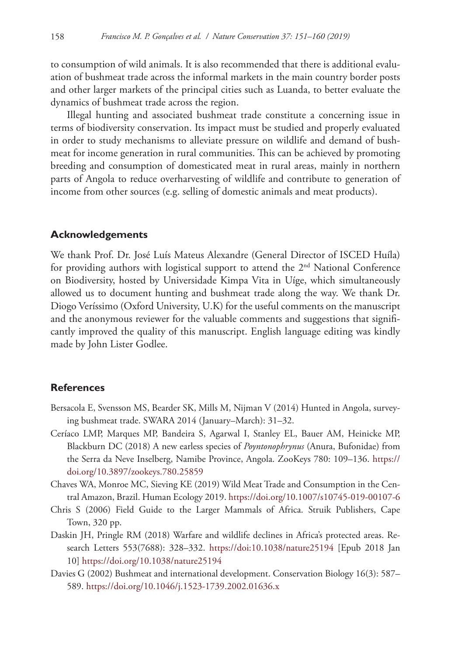to consumption of wild animals. It is also recommended that there is additional evaluation of bushmeat trade across the informal markets in the main country border posts and other larger markets of the principal cities such as Luanda, to better evaluate the dynamics of bushmeat trade across the region.

Illegal hunting and associated bushmeat trade constitute a concerning issue in terms of biodiversity conservation. Its impact must be studied and properly evaluated in order to study mechanisms to alleviate pressure on wildlife and demand of bushmeat for income generation in rural communities. This can be achieved by promoting breeding and consumption of domesticated meat in rural areas, mainly in northern parts of Angola to reduce overharvesting of wildlife and contribute to generation of income from other sources (e.g. selling of domestic animals and meat products).

#### **Acknowledgements**

We thank Prof. Dr. José Luís Mateus Alexandre (General Director of ISCED Huíla) for providing authors with logistical support to attend the 2<sup>nd</sup> National Conference on Biodiversity, hosted by Universidade Kimpa Vita in Uíge, which simultaneously allowed us to document hunting and bushmeat trade along the way. We thank Dr. Diogo Veríssimo (Oxford University, U.K) for the useful comments on the manuscript and the anonymous reviewer for the valuable comments and suggestions that significantly improved the quality of this manuscript. English language editing was kindly made by John Lister Godlee.

#### **References**

- Bersacola E, Svensson MS, Bearder SK, Mills M, Nijman V (2014) Hunted in Angola, surveying bushmeat trade. SWARA 2014 (January–March): 31–32.
- Ceríaco LMP, Marques MP, Bandeira S, Agarwal I, Stanley EL, Bauer AM, Heinicke MP, Blackburn DC (2018) A new earless species of *Poyntonophrynus* (Anura, Bufonidae) from the Serra da Neve Inselberg, Namibe Province, Angola. ZooKeys 780: 109–136. [https://](https://doi.org/10.3897/zookeys.780.25859) [doi.org/10.3897/zookeys.780.25859](https://doi.org/10.3897/zookeys.780.25859)
- Chaves WA, Monroe MC, Sieving KE (2019) Wild Meat Trade and Consumption in the Central Amazon, Brazil. Human Ecology 2019.<https://doi.org/10.1007/s10745-019-00107-6>
- Chris S (2006) Field Guide to the Larger Mammals of Africa. Struik Publishers, Cape Town, 320 pp.
- Daskin JH, Pringle RM (2018) Warfare and wildlife declines in Africa's protected areas. Research Letters 553(7688): 328–332. <https://doi:10.1038/nature25194> [Epub 2018 Jan 10]<https://doi.org/10.1038/nature25194>
- Davies G (2002) Bushmeat and international development. Conservation Biology 16(3): 587– 589.<https://doi.org/10.1046/j.1523-1739.2002.01636.x>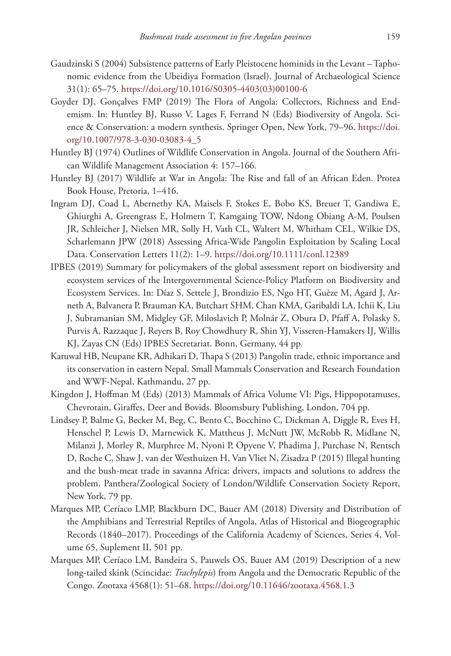- Gaudzinski S (2004) Subsistence patterns of Early Pleistocene hominids in the Levant Taphonomic evidence from the Ubeidiya Formation (Israel). Journal of Archaeological Science 31(1): 65–75. [https://doi.org/10.1016/S0305-4403\(03\)00100-6](https://doi.org/10.1016/S0305-4403(03)00100-6)
- Goyder DJ, Gonçalves FMP (2019) The Flora of Angola: Collectors, Richness and Endemism. In: Huntley BJ, Russo V, Lages F, Ferrand N (Eds) Biodiversity of Angola. Science & Conservation: a modern synthesis. Springer Open, New York, 79–96. [https://doi.](https://doi.org/10.1007/978-3-030-03083-4_5) [org/10.1007/978-3-030-03083-4\\_5](https://doi.org/10.1007/978-3-030-03083-4_5)
- Huntley BJ (1974) Outlines of Wildlife Conservation in Angola. Journal of the Southern African Wildlife Management Association 4: 157–166.
- Huntley BJ (2017) Wildlife at War in Angola: The Rise and fall of an African Eden. Protea Book House, Pretoria, 1–416.
- Ingram DJ, Coad L, Abernethy KA, Maisels F, Stokes E, Bobo KS, Breuer T, Gandiwa E, Ghiurghi A, Greengrass E, Holmern T, Kamgaing TOW, Ndong Obiang A-M, Poulsen JR, Schleicher J, Nielsen MR, Solly H, Vath CL, Waltert M, Whitham CEL, Wilkie DS, Scharlemann JPW (2018) Assessing Africa-Wide Pangolin Exploitation by Scaling Local Data. Conservation Letters 11(2): 1–9. <https://doi.org/10.1111/conl.12389>
- IPBES (2019) Summary for policymakers of the global assessment report on biodiversity and ecosystem services of the Intergovernmental Science-Policy Platform on Biodiversity and Ecosystem Services. In: Díaz S, Settele J, Brondizio ES, Ngo HT, Guèze M, Agard J, Arneth A, Balvanera P, Brauman KA, Butchart SHM, Chan KMA, Garibaldi LA, Ichii K, Liu J, Subramanian SM, Midgley GF, Miloslavich P, Molnár Z, Obura D, Pfaff A, Polasky S, Purvis A, Razzaque J, Reyers B, Roy Chowdhury R, Shin YJ, Visseren-Hamakers IJ, Willis KJ, Zayas CN (Eds) IPBES Secretariat. Bonn, Germany, 44 pp.
- Katuwal HB, Neupane KR, Adhikari D, Thapa S (2013) Pangolin trade, ethnic importance and its conservation in eastern Nepal. Small Mammals Conservation and Research Foundation and WWF-Nepal, Kathmandu, 27 pp.
- Kingdon J, Hoffman M (Eds) (2013) Mammals of Africa Volume VI: Pigs, Hippopotamuses, Chevrotain, Giraffes, Deer and Bovids. Bloomsbury Publishing, London, 704 pp.
- Lindsey P, Balme G, Becker M, Beg, C, Bento C, Bocchino C, Dickman A, Diggle R, Eves H, Henschel P, Lewis D, Marnewick K, Mattheus J, McNutt JW, McRobb R, Midlane N, Milanzi J, Morley R, Murphree M, Nyoni P, Opyene V, Phadima J, Purchase N, Rentsch D, Roche C, Shaw J, van der Westhuizen H, Van Vliet N, Zisadza P (2015) Illegal hunting and the bush-meat trade in savanna Africa: drivers, impacts and solutions to address the problem. Panthera/Zoological Society of London/Wildlife Conservation Society Report, New York, 79 pp.
- Marques MP, Ceríaco LMP, Blackburn DC, Bauer AM (2018) Diversity and Distribution of the Amphibians and Terrestrial Reptiles of Angola, Atlas of Historical and Biogeographic Records (1840–2017). Proceedings of the California Academy of Sciences, Series 4, Volume 65, Suplement II, 501 pp.
- Marques MP, Ceríaco LM, Bandeira S, Pauwels OS, Bauer AM (2019) Description of a new long-tailed skink (Scincidae: *Trachylepis*) from Angola and the Democratic Republic of the Congo. Zootaxa 4568(1): 51–68.<https://doi.org/10.11646/zootaxa.4568.1.3>